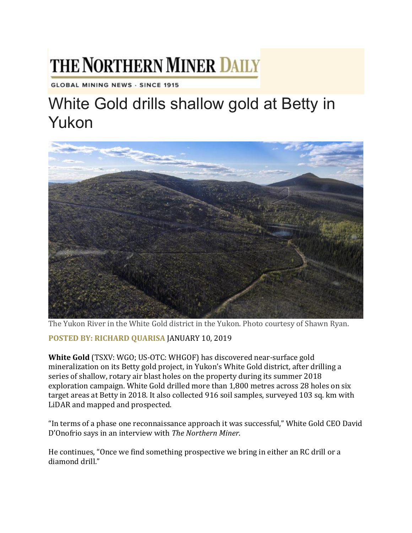## THE NORTHERN MINER DAILY

**GLOBAL MINING NEWS - SINCE 1915** 

## White Gold drills shallow gold at Betty in Yukon



The Yukon River in the White Gold district in the Yukon. Photo courtesy of Shawn Ryan.

**POSTED BY: [RICHARD](https://www.northernminer.com/author/rquarisa/) QUARISA** JANUARY 10, 2019

**White Gold** (TSXV: WGO; US-OTC: WHGOF) has discovered near-surface gold mineralization on its Betty gold project, in Yukon's White Gold district, after drilling a series of shallow, rotary air blast holes on the property during its summer 2018 exploration campaign. White Gold drilled more than 1,800 metres across 28 holes on six target areas at Betty in 2018. It also collected 916 soil samples, surveyed 103 sq. km with LiDAR and mapped and prospected.

"In terms of a phase one reconnaissance approach it was successful," White Gold CEO David D'Onofrio says in an interview with *The Northern Miner*.

He continues, "Once we find something prospective we bring in either an RC drill or a diamond drill."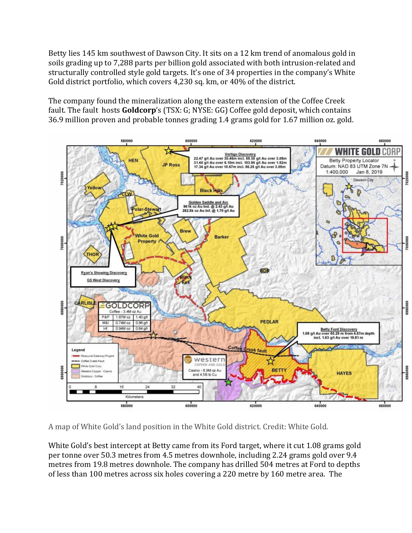Betty lies 145 km southwest of Dawson City. It sits on a 12 km trend of anomalous gold in soils grading up to 7,288 parts per billion gold associated with both intrusion-related and structurally controlled style gold targets. It's one of 34 properties in the company's White Gold district portfolio, which covers 4,230 sq. km, or 40% of the district.

The company found the mineralization along the eastern extension of the Coffee Creek fault. The fault hosts **Goldcorp**'s (TSX: G; NYSE: GG) Coffee gold deposit, which contains 36.9 million proven and probable tonnes grading 1.4 grams gold for 1.67 million oz. gold.



A map of White Gold's land position in the White Gold district. Credit: White Gold.

White Gold's best intercept at Betty came from its Ford target, where it cut 1.08 grams gold per tonne over 50.3 metres from 4.5 metres downhole, including 2.24 grams gold over 9.4 metres from 19.8 metres downhole. The company has drilled 504 metres at Ford to depths of less than 100 metres across six holes covering a 220 metre by 160 metre area. The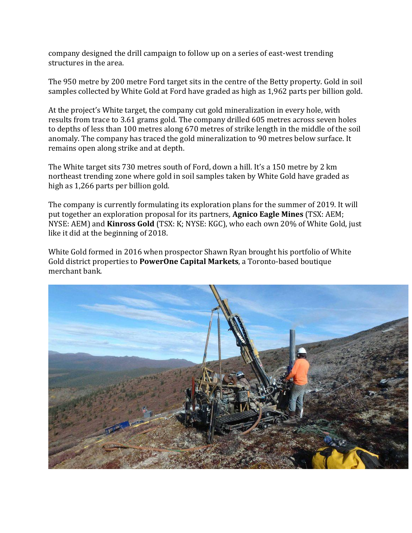company designed the drill campaign to follow up on a series of east-west trending structures in the area.

The 950 metre by 200 metre Ford target sits in the centre of the Betty property. Gold in soil samples collected by White Gold at Ford have graded as high as 1,962 parts per billion gold.

At the project's White target, the company cut gold mineralization in every hole, with results from trace to 3.61 grams gold. The company drilled 605 metres across seven holes to depths of less than 100 metres along 670 metres of strike length in the middle of the soil anomaly. The company has traced the gold mineralization to 90 metres below surface. It remains open along strike and at depth.

The White target sits 730 metres south of Ford, down a hill. It's a 150 metre by 2 km northeast trending zone where gold in soil samples taken by White Gold have graded as high as 1,266 parts per billion gold.

The company is currently formulating its exploration plans for the summer of 2019. It will put together an exploration proposal for its partners, **Agnico Eagle Mines** (TSX: AEM; NYSE: AEM) and **Kinross Gold** (TSX: K; NYSE: KGC), who each own 20% of White Gold, just like it did at the beginning of 2018.

White Gold formed in 2016 when prospector Shawn Ryan brought his portfolio of White Gold district properties to **PowerOne Capital Markets**, a Toronto-based boutique merchant bank.

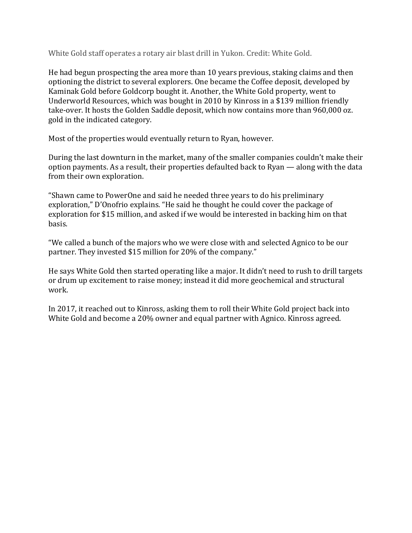White Gold staff operates a rotary air blast drill in Yukon. Credit: White Gold.

He had begun prospecting the area more than 10 years previous, staking claims and then optioning the district to several explorers. One became the Coffee deposit, developed by Kaminak Gold before Goldcorp bought it. Another, the White Gold property, went to Underworld Resources, which was bought in 2010 by Kinross in a \$139 million friendly take-over. It hosts the Golden Saddle deposit, which now contains more than 960,000 oz. gold in the indicated category.

Most of the properties would eventually return to Ryan, however.

During the last downturn in the market, many of the smaller companies couldn't make their option payments. As a result, their properties defaulted back to Ryan — along with the data from their own exploration.

"Shawn came to PowerOne and said he needed three years to do his preliminary exploration," D'Onofrio explains. "He said he thought he could cover the package of exploration for \$15 million, and asked if we would be interested in backing him on that basis.

"We called a bunch of the majors who we were close with and selected Agnico to be our partner. They invested \$15 million for 20% of the company."

He says White Gold then started operating like a major. It didn't need to rush to drill targets or drum up excitement to raise money; instead it did more geochemical and structural work.

In 2017, it reached out to Kinross, asking them to roll their White Gold project back into White Gold and become a 20% owner and equal partner with Agnico. Kinross agreed.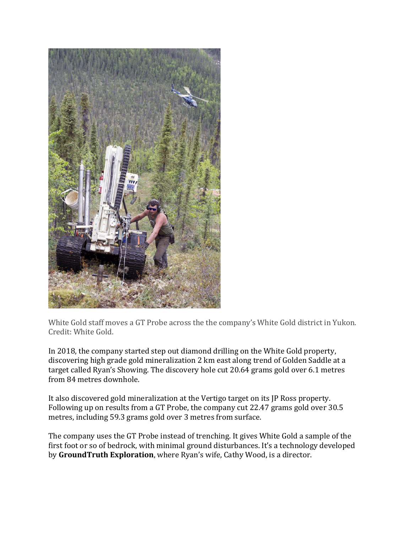

White Gold staff moves a GT Probe across the the company's White Gold district in Yukon. Credit: White Gold.

In 2018, the company started step out diamond drilling on the White Gold property, discovering high grade gold mineralization 2 km east along trend of Golden Saddle at a target called Ryan's Showing. The discovery hole cut 20.64 grams gold over 6.1 metres from 84 metres downhole.

It also discovered gold mineralization at the Vertigo target on its JP Ross property. Following up on results from a GT Probe, the company cut 22.47 grams gold over 30.5 metres, including 59.3 grams gold over 3 metres from surface.

The company uses the GT Probe instead of trenching. It gives White Gold a sample of the first foot or so of bedrock, with minimal ground disturbances. It's a technology developed by **GroundTruth Exploration**, where Ryan's wife, Cathy Wood, is a director.